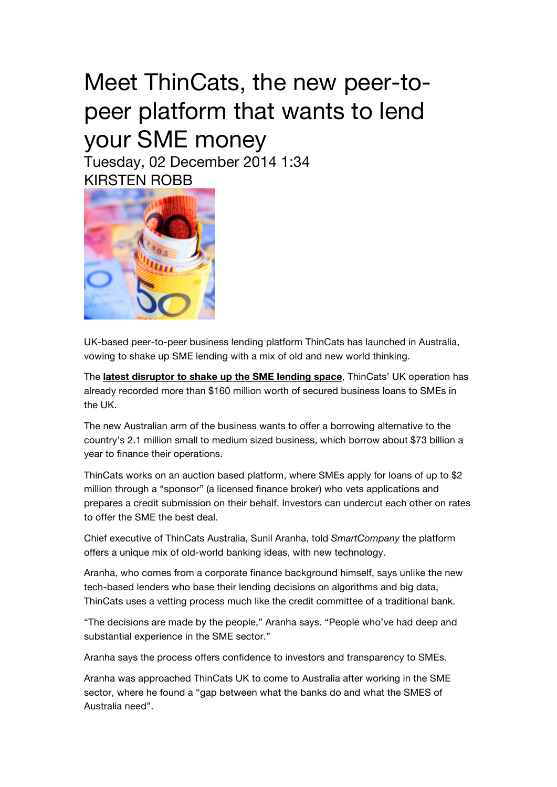## Meet ThinCats, the new peer-topeer platform that wants to lend your SME money Tuesday, 02 December 2014 1:34

KIRSTEN ROBB

UK-based peer-to-peer business lending platform ThinCats has launched in Australia, vowing to shake up SME lending with a mix of old and new world thinking.

The **latest disruptor to shake up the SME lending space**, ThinCats' UK operation has already recorded more than \$160 million worth of secured business loans to SMEs in the UK.

The new Australian arm of the business wants to offer a borrowing alternative to the country's 2.1 million small to medium sized business, which borrow about \$73 billion a year to finance their operations.

ThinCats works on an auction based platform, where SMEs apply for loans of up to \$2 million through a "sponsor" (a licensed finance broker) who vets applications and prepares a credit submission on their behalf. Investors can undercut each other on rates to offer the SME the best deal.

Chief executive of ThinCats Australia, Sunil Aranha, told *SmartCompany* the platform offers a unique mix of old-world banking ideas, with new technology.

Aranha, who comes from a corporate finance background himself, says unlike the new tech-based lenders who base their lending decisions on algorithms and big data, ThinCats uses a vetting process much like the credit committee of a traditional bank.

"The decisions are made by the people," Aranha says. "People who've had deep and substantial experience in the SME sector."

Aranha says the process offers confidence to investors and transparency to SMEs.

Aranha was approached ThinCats UK to come to Australia after working in the SME sector, where he found a "gap between what the banks do and what the SMES of Australia need".